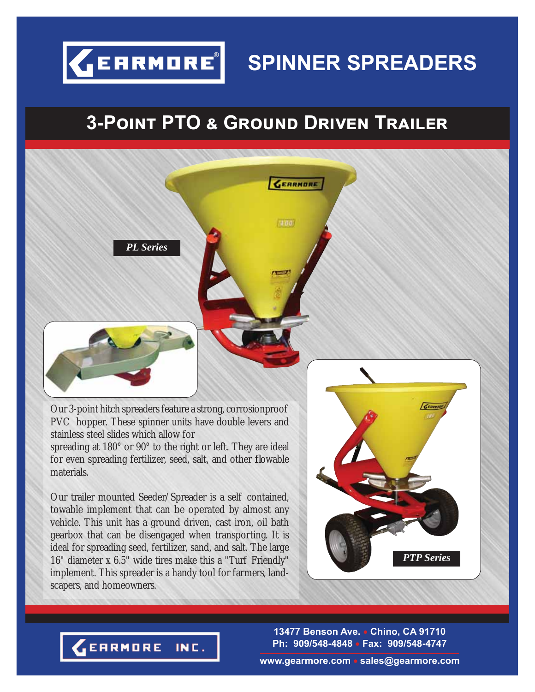

*PL Series*

# **SPINNER SPREADERS**

### $3$ -POINT PTO & GROUND DRIVEN TRAILER

GERRHORE



stainless steel slides which allow for spreading at 180° or 90° to the right or left. They are ideal for even spreading fertilizer, seed, salt, and other flowable

materials. Our trailer mounted Seeder/Spreader is a self contained,

towable implement that can be operated by almost any vehicle. This unit has a ground driven, cast iron, oil bath gearbox that can be disengaged when transporting. It is ideal for spreading seed, fertilizer, sand, and salt. The large 16" diameter x 6.5" wide tires make this a "Turf Friendly" implement. This spreader is a handy tool for farmers, landscapers, and homeowners.







**www.gearmore.com sales@gearmore.com**